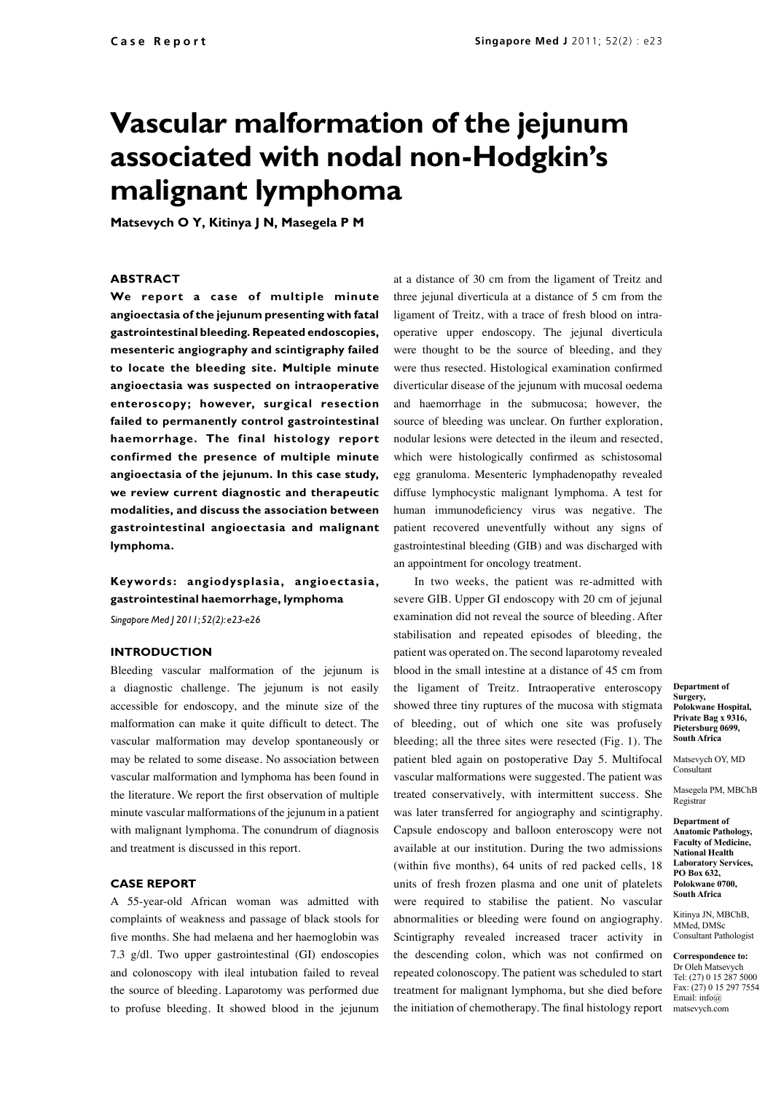# **Vascular malformation of the jejunum associated with nodal non-Hodgkin's malignant lymphoma**

**Matsevych O Y, Kitinya J N, Masegela P M**

#### **ABSTRACT**

**We report a case of multiple minute angioectasia of the jejunum presenting with fatal gastrointestinal bleeding. Repeated endoscopies, mesenteric angiography and scintigraphy failed to locate the bleeding site. Multiple minute angioectasia was suspected on intraoperative enteroscopy; however, surgical resection failed to permanently control gastrointestinal haemorrhage. The final histology report confirmed the presence of multiple minute angioectasia of the jejunum. In this case study, we review current diagnostic and therapeutic modalities, and discuss the association between gastrointestinal angioectasia and malignant lymphoma.**

## **Keywords : angiodysplasia, angioectasia, gastrointestinal haemorrhage, lymphoma**

*Singapore Med J 2011; 52(2): e23-e26*

#### **INTRODUCTION**

Bleeding vascular malformation of the jejunum is a diagnostic challenge. The jejunum is not easily accessible for endoscopy, and the minute size of the malformation can make it quite difficult to detect. The vascular malformation may develop spontaneously or may be related to some disease. No association between vascular malformation and lymphoma has been found in the literature. We report the first observation of multiple minute vascular malformations of the jejunum in a patient with malignant lymphoma. The conundrum of diagnosis and treatment is discussed in this report.

### **CASE REPORT**

A 55-year-old African woman was admitted with complaints of weakness and passage of black stools for five months. She had melaena and her haemoglobin was 7.3 g/dl. Two upper gastrointestinal (GI) endoscopies and colonoscopy with ileal intubation failed to reveal the source of bleeding. Laparotomy was performed due to profuse bleeding. It showed blood in the jejunum

at a distance of 30 cm from the ligament of Treitz and three jejunal diverticula at a distance of 5 cm from the ligament of Treitz, with a trace of fresh blood on intraoperative upper endoscopy. The jejunal diverticula were thought to be the source of bleeding, and they were thus resected. Histological examination confirmed diverticular disease of the jejunum with mucosal oedema and haemorrhage in the submucosa; however, the source of bleeding was unclear. On further exploration, nodular lesions were detected in the ileum and resected, which were histologically confirmed as schistosomal egg granuloma. Mesenteric lymphadenopathy revealed diffuse lymphocystic malignant lymphoma. A test for human immunodeficiency virus was negative. The patient recovered uneventfully without any signs of gastrointestinal bleeding (GIB) and was discharged with an appointment for oncology treatment.

In two weeks, the patient was re-admitted with severe GIB. Upper GI endoscopy with 20 cm of jejunal examination did not reveal the source of bleeding. After stabilisation and repeated episodes of bleeding, the patient was operated on. The second laparotomy revealed blood in the small intestine at a distance of 45 cm from the ligament of Treitz. Intraoperative enteroscopy showed three tiny ruptures of the mucosa with stigmata of bleeding, out of which one site was profusely bleeding; all the three sites were resected (Fig. 1). The patient bled again on postoperative Day 5. Multifocal vascular malformations were suggested. The patient was treated conservatively, with intermittent success. She was later transferred for angiography and scintigraphy. Capsule endoscopy and balloon enteroscopy were not available at our institution. During the two admissions (within five months), 64 units of red packed cells, 18 units of fresh frozen plasma and one unit of platelets were required to stabilise the patient. No vascular abnormalities or bleeding were found on angiography. Scintigraphy revealed increased tracer activity in the descending colon, which was not confirmed on repeated colonoscopy. The patient was scheduled to start treatment for malignant lymphoma, but she died before the initiation of chemotherapy. The final histology report

**Department of Surgery, Polokwane Hospital, Private Bag x 9316, Pietersburg 0699, South Africa**

Matsevych OY, MD Consultant

Masegela PM, MBChB Registrar

**Department of Anatomic Pathology, Faculty of Medicine, National Health Laboratory Services, PO Box 632, Polokwane 0700, South Africa**

Kitinya JN, MBChB, MMed, DMSc Consultant Pathologist

**Correspondence to:**  Dr Oleh Matsevych Tel: (27) 0 15 287 5000 Fax: (27) 0 15 297 7554 Email: info@ matsevych.com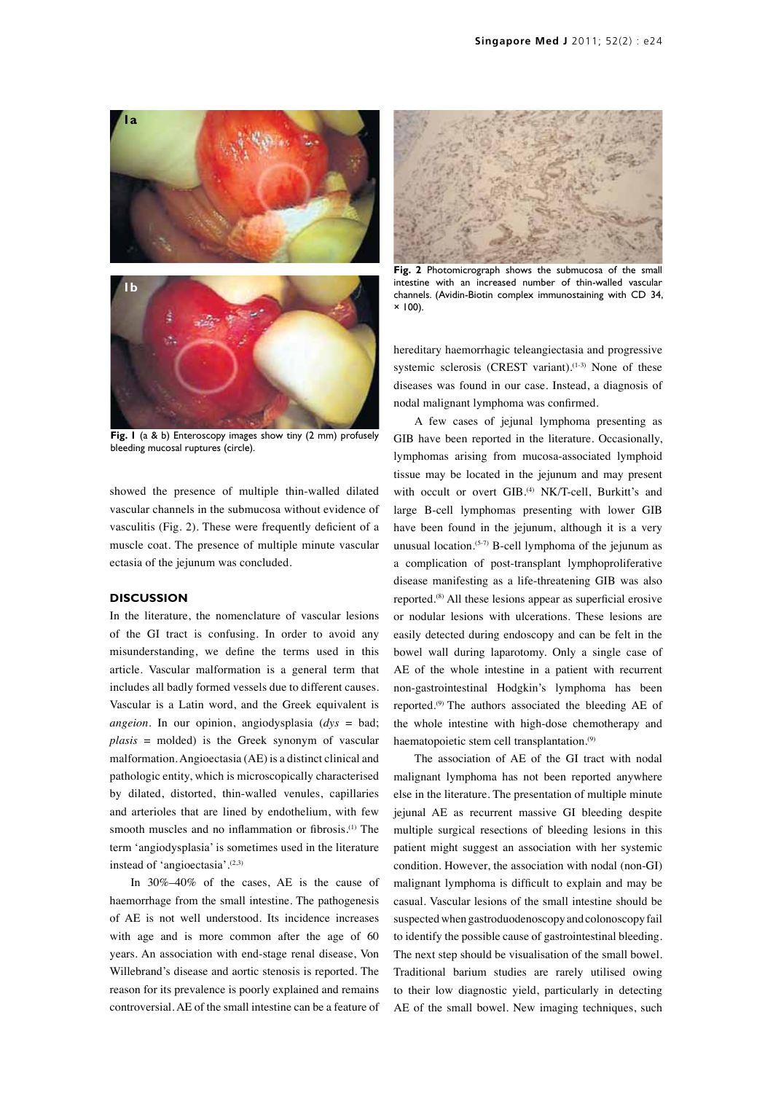



**Fig. 1** (a & b) Enteroscopy images show tiny (2 mm) profusely bleeding mucosal ruptures (circle).

showed the presence of multiple thin-walled dilated vascular channels in the submucosa without evidence of vasculitis (Fig. 2). These were frequently deficient of a muscle coat. The presence of multiple minute vascular ectasia of the jejunum was concluded.

#### **DISCUSSION**

In the literature, the nomenclature of vascular lesions of the GI tract is confusing. In order to avoid any misunderstanding, we define the terms used in this article. Vascular malformation is a general term that includes all badly formed vessels due to different causes. Vascular is a Latin word, and the Greek equivalent is *angeion*. In our opinion, angiodysplasia (*dys* = bad; *plasis* = molded) is the Greek synonym of vascular malformation. Angioectasia (AE) is a distinct clinical and pathologic entity, which is microscopically characterised by dilated, distorted, thin-walled venules, capillaries and arterioles that are lined by endothelium, with few smooth muscles and no inflammation or fibrosis.<sup>(1)</sup> The term 'angiodysplasia' is sometimes used in the literature instead of 'angioectasia'.(2,3)

In 30%–40% of the cases, AE is the cause of haemorrhage from the small intestine. The pathogenesis of AE is not well understood. Its incidence increases with age and is more common after the age of 60 years. An association with end-stage renal disease, Von Willebrand's disease and aortic stenosis is reported. The reason for its prevalence is poorly explained and remains controversial. AE of the small intestine can be a feature of



**Fig. 2** Photomicrograph shows the submucosa of the small intestine with an increased number of thin-walled vascular channels. (Avidin-Biotin complex immunostaining with CD 34,  $× 100$ ).

hereditary haemorrhagic teleangiectasia and progressive systemic sclerosis (CREST variant).<sup>(1-3)</sup> None of these diseases was found in our case. Instead, a diagnosis of nodal malignant lymphoma was confirmed.

A few cases of jejunal lymphoma presenting as GIB have been reported in the literature. Occasionally, lymphomas arising from mucosa-associated lymphoid tissue may be located in the jejunum and may present with occult or overt GIB.<sup>(4)</sup> NK/T-cell, Burkitt's and large B-cell lymphomas presenting with lower GIB have been found in the jejunum, although it is a very unusual location.<sup>(5-7)</sup> B-cell lymphoma of the jejunum as a complication of post-transplant lymphoproliferative disease manifesting as a life-threatening GIB was also reported.(8) All these lesions appear as superficial erosive or nodular lesions with ulcerations. These lesions are easily detected during endoscopy and can be felt in the bowel wall during laparotomy. Only a single case of AE of the whole intestine in a patient with recurrent non-gastrointestinal Hodgkin's lymphoma has been reported.(9) The authors associated the bleeding AE of the whole intestine with high-dose chemotherapy and haematopoietic stem cell transplantation.(9)

The association of AE of the GI tract with nodal malignant lymphoma has not been reported anywhere else in the literature. The presentation of multiple minute jejunal AE as recurrent massive GI bleeding despite multiple surgical resections of bleeding lesions in this patient might suggest an association with her systemic condition. However, the association with nodal (non-GI) malignant lymphoma is difficult to explain and may be casual. Vascular lesions of the small intestine should be suspected when gastroduodenoscopy and colonoscopy fail to identify the possible cause of gastrointestinal bleeding. The next step should be visualisation of the small bowel. Traditional barium studies are rarely utilised owing to their low diagnostic yield, particularly in detecting AE of the small bowel. New imaging techniques, such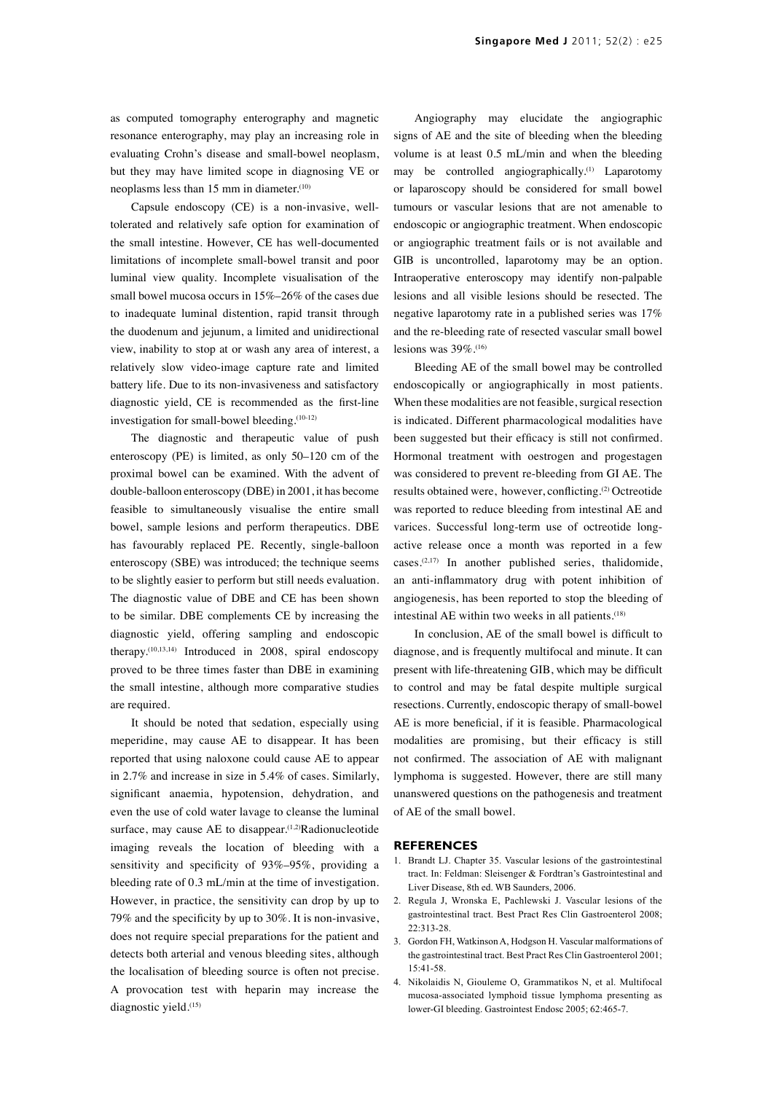as computed tomography enterography and magnetic resonance enterography, may play an increasing role in evaluating Crohn's disease and small-bowel neoplasm, but they may have limited scope in diagnosing VE or neoplasms less than 15 mm in diameter.<sup>(10)</sup>

Capsule endoscopy (CE) is a non-invasive, welltolerated and relatively safe option for examination of the small intestine. However, CE has well-documented limitations of incomplete small-bowel transit and poor luminal view quality. Incomplete visualisation of the small bowel mucosa occurs in 15%–26% of the cases due to inadequate luminal distention, rapid transit through the duodenum and jejunum, a limited and unidirectional view, inability to stop at or wash any area of interest, a relatively slow video-image capture rate and limited battery life. Due to its non-invasiveness and satisfactory diagnostic yield, CE is recommended as the first-line investigation for small-bowel bleeding.(10-12)

The diagnostic and therapeutic value of push enteroscopy (PE) is limited, as only 50–120 cm of the proximal bowel can be examined. With the advent of double-balloon enteroscopy (DBE) in 2001, it has become feasible to simultaneously visualise the entire small bowel, sample lesions and perform therapeutics. DBE has favourably replaced PE. Recently, single-balloon enteroscopy (SBE) was introduced; the technique seems to be slightly easier to perform but still needs evaluation. The diagnostic value of DBE and CE has been shown to be similar. DBE complements CE by increasing the diagnostic yield, offering sampling and endoscopic therapy.(10,13,14) Introduced in 2008, spiral endoscopy proved to be three times faster than DBE in examining the small intestine, although more comparative studies are required.

It should be noted that sedation, especially using meperidine, may cause AE to disappear. It has been reported that using naloxone could cause AE to appear in 2.7% and increase in size in 5.4% of cases. Similarly, significant anaemia, hypotension, dehydration, and even the use of cold water lavage to cleanse the luminal surface, may cause AE to disappear.<sup>(1,2)</sup>Radionucleotide imaging reveals the location of bleeding with a sensitivity and specificity of 93%–95%, providing a bleeding rate of 0.3 mL/min at the time of investigation. However, in practice, the sensitivity can drop by up to 79% and the specificity by up to 30%. It is non-invasive, does not require special preparations for the patient and detects both arterial and venous bleeding sites, although the localisation of bleeding source is often not precise. A provocation test with heparin may increase the diagnostic yield.<sup>(15)</sup>

Angiography may elucidate the angiographic signs of AE and the site of bleeding when the bleeding volume is at least 0.5 mL/min and when the bleeding may be controlled angiographically.<sup>(1)</sup> Laparotomy or laparoscopy should be considered for small bowel tumours or vascular lesions that are not amenable to endoscopic or angiographic treatment. When endoscopic or angiographic treatment fails or is not available and GIB is uncontrolled, laparotomy may be an option. Intraoperative enteroscopy may identify non-palpable lesions and all visible lesions should be resected. The negative laparotomy rate in a published series was 17% and the re-bleeding rate of resected vascular small bowel lesions was 39%.(16)

Bleeding AE of the small bowel may be controlled endoscopically or angiographically in most patients. When these modalities are not feasible, surgical resection is indicated. Different pharmacological modalities have been suggested but their efficacy is still not confirmed. Hormonal treatment with oestrogen and progestagen was considered to prevent re-bleeding from GI AE. The results obtained were, however, conflicting.(2) Octreotide was reported to reduce bleeding from intestinal AE and varices. Successful long-term use of octreotide longactive release once a month was reported in a few cases.(2,17) In another published series, thalidomide, an anti-inflammatory drug with potent inhibition of angiogenesis, has been reported to stop the bleeding of intestinal AE within two weeks in all patients.<sup>(18)</sup>

In conclusion, AE of the small bowel is difficult to diagnose, and is frequently multifocal and minute. It can present with life-threatening GIB, which may be difficult to control and may be fatal despite multiple surgical resections. Currently, endoscopic therapy of small-bowel AE is more beneficial, if it is feasible. Pharmacological modalities are promising, but their efficacy is still not confirmed. The association of AE with malignant lymphoma is suggested. However, there are still many unanswered questions on the pathogenesis and treatment of AE of the small bowel.

#### **REFERENCES**

- 1. Brandt LJ. Chapter 35. Vascular lesions of the gastrointestinal tract. In: Feldman: Sleisenger & Fordtran's Gastrointestinal and Liver Disease, 8th ed. WB Saunders, 2006.
- 2. Regula J, Wronska E, Pachlewski J. Vascular lesions of the gastrointestinal tract. Best Pract Res Clin Gastroenterol 2008; 22:313-28.
- 3. Gordon FH, Watkinson A, Hodgson H. Vascular malformations of the gastrointestinal tract. Best Pract Res Clin Gastroenterol 2001; 15:41-58.
- 4. Nikolaidis N, Giouleme O, Grammatikos N, et al. Multifocal mucosa-associated lymphoid tissue lymphoma presenting as lower-GI bleeding. Gastrointest Endosc 2005; 62:465-7.